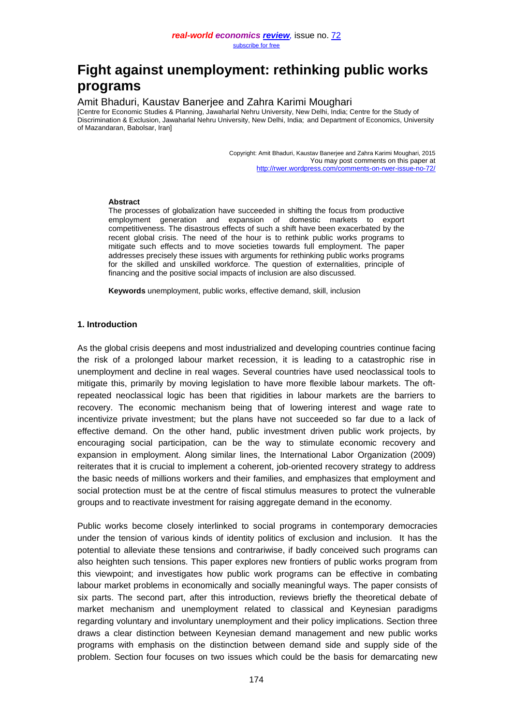## **Fight against unemployment: rethinking public works programs**

# Amit Bhaduri, Kaustav Banerjee and Zahra Karimi Moughari<br>[Centre for Economic Studies & Planning, Jawaharlal Nehru University, New Delhi, India; Centre for the Study of

Discrimination & Exclusion, Jawaharlal Nehru University, New Delhi, India; and Department of Economics, University of Mazandaran, Babolsar, Iran]

> Copyright: Amit Bhaduri, Kaustav Banerjee and Zahra Karimi Moughari, 2015 You may post comments on this paper at <http://rwer.wordpress.com/comments-on-rwer-issue-no-72/>

#### **Abstract**

The processes of globalization have succeeded in shifting the focus from productive employment generation and expansion of domestic markets to export competitiveness. The disastrous effects of such a shift have been exacerbated by the recent global crisis. The need of the hour is to rethink public works programs to mitigate such effects and to move societies towards full employment. The paper addresses precisely these issues with arguments for rethinking public works programs for the skilled and unskilled workforce. The question of externalities, principle of financing and the positive social impacts of inclusion are also discussed.

**Keywords** unemployment, public works, effective demand, skill, inclusion

#### **1. Introduction**

As the global crisis deepens and most industrialized and developing countries continue facing the risk of a prolonged labour market recession, it is leading to a catastrophic rise in unemployment and decline in real wages. Several countries have used neoclassical tools to mitigate this, primarily by moving legislation to have more flexible labour markets. The oftrepeated neoclassical logic has been that rigidities in labour markets are the barriers to recovery. The economic mechanism being that of lowering interest and wage rate to incentivize private investment; but the plans have not succeeded so far due to a lack of effective demand. On the other hand, public investment driven public work projects, by encouraging social participation, can be the way to stimulate economic recovery and expansion in employment. Along similar lines, the International Labor Organization (2009) reiterates that it is crucial to implement a coherent, job-oriented recovery strategy to address the basic needs of millions workers and their families, and emphasizes that employment and social protection must be at the centre of fiscal stimulus measures to protect the vulnerable groups and to reactivate investment for raising aggregate demand in the economy.

Public works become closely interlinked to social programs in contemporary democracies under the tension of various kinds of identity politics of exclusion and inclusion. It has the potential to alleviate these tensions and contrariwise, if badly conceived such programs can also heighten such tensions. This paper explores new frontiers of public works program from this viewpoint; and investigates how public work programs can be effective in combating labour market problems in economically and socially meaningful ways. The paper consists of six parts. The second part, after this introduction, reviews briefly the theoretical debate of market mechanism and unemployment related to classical and Keynesian paradigms regarding voluntary and involuntary unemployment and their policy implications. Section three draws a clear distinction between Keynesian demand management and new public works programs with emphasis on the distinction between demand side and supply side of the problem. Section four focuses on two issues which could be the basis for demarcating new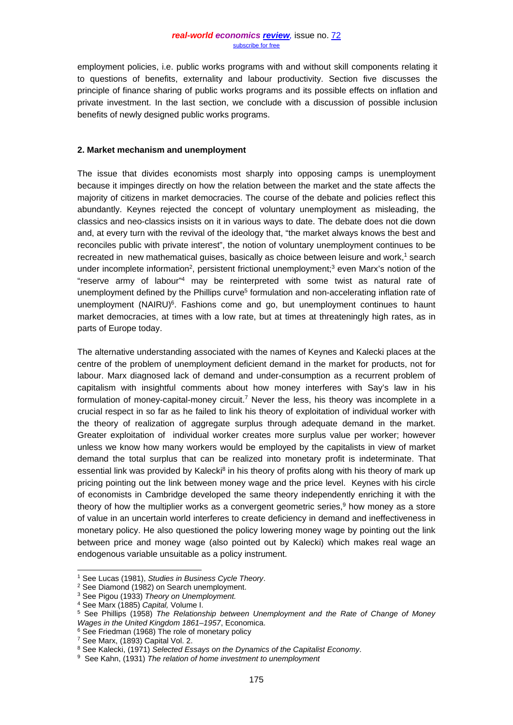employment policies, i.e. public works programs with and without skill components relating it to questions of benefits, externality and labour productivity. Section five discusses the principle of finance sharing of public works programs and its possible effects on inflation and private investment. In the last section, we conclude with a discussion of possible inclusion benefits of newly designed public works programs.

#### **2. Market mechanism and unemployment**

The issue that divides economists most sharply into opposing camps is unemployment because it impinges directly on how the relation between the market and the state affects the majority of citizens in market democracies. The course of the debate and policies reflect this abundantly. Keynes rejected the concept of voluntary unemployment as misleading, the classics and neo-classics insists on it in various ways to date. The debate does not die down and, at every turn with the revival of the ideology that, "the market always knows the best and reconciles public with private interest", the notion of voluntary unemployment continues to be recreated in new mathematical guises, basically as choice between leisure and work,<sup>1</sup> search under incomplete information<sup>2</sup>, persistent frictional unemployment;<sup>3</sup> even Marx's notion of the "reserve army of labour"4 may be reinterpreted with some twist as natural rate of unemployment defined by the Phillips curve<sup>5</sup> formulation and non-accelerating inflation rate of unemployment (NAIRU) $6$ . Fashions come and go, but unemployment continues to haunt market democracies, at times with a low rate, but at times at threateningly high rates, as in parts of Europe today.

The alternative understanding associated with the names of Keynes and Kalecki places at the centre of the problem of unemployment deficient demand in the market for products, not for labour. Marx diagnosed lack of demand and under-consumption as a recurrent problem of capitalism with insightful comments about how money interferes with Say's law in his formulation of money-capital-money circuit.<sup>7</sup> Never the less, his theory was incomplete in a crucial respect in so far as he failed to link his theory of exploitation of individual worker with the theory of realization of aggregate surplus through adequate demand in the market. Greater exploitation of individual worker creates more surplus value per worker; however unless we know how many workers would be employed by the capitalists in view of market demand the total surplus that can be realized into monetary profit is indeterminate. That essential link was provided by Kalecki<sup>8</sup> in his theory of profits along with his theory of mark up pricing pointing out the link between money wage and the price level. Keynes with his circle of economists in Cambridge developed the same theory independently enriching it with the theory of how the multiplier works as a convergent geometric series.<sup>9</sup> how money as a store of value in an uncertain world interferes to create deficiency in demand and ineffectiveness in monetary policy. He also questioned the policy lowering money wage by pointing out the link between price and money wage (also pointed out by Kalecki) which makes real wage an endogenous variable unsuitable as a policy instrument.

 <sup>1</sup> See Lucas (1981), *Studies in Business Cycle Theory*.

<sup>2</sup> See Diamond (1982) on Search unemployment.

<sup>3</sup> See Pigou (1933) *Theory on Unemployment.*

<sup>4</sup> See Marx (1885) *Capital,* Volume I.

<sup>5</sup> See Phillips (1958) *The Relationship between Unemployment and the Rate of Change of Money Wages in the United Kingdom 1861–1957*, [Economica.](http://en.wikipedia.org/wiki/Economica)

<sup>&</sup>lt;sup>6</sup> See Friedman (1968) The role of monetary policy <sup>7</sup> See Marx, (1893) Capital Vol. 2.

<sup>&</sup>lt;sup>8</sup> See Kalecki, (1971) *Selected Essays on the Dynamics of the Capitalist Economy.*<br><sup>9</sup> See Kahn, (1931) *The relation of home investment to unemployment*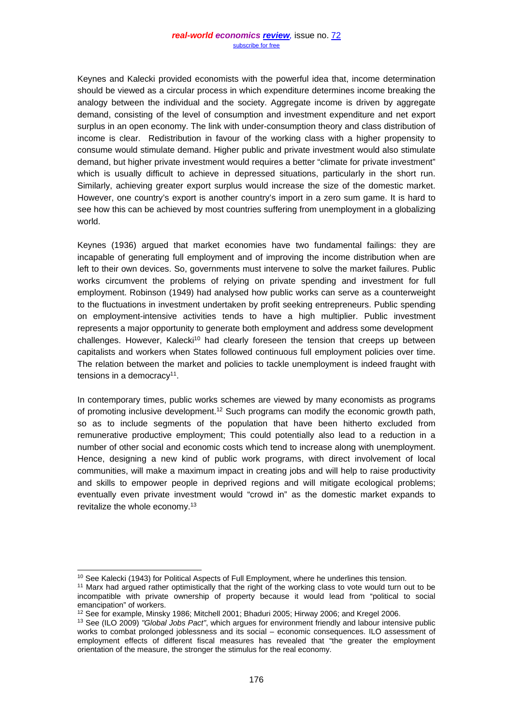Keynes and Kalecki provided economists with the powerful idea that, income determination should be viewed as a circular process in which expenditure determines income breaking the analogy between the individual and the society. Aggregate income is driven by aggregate demand, consisting of the level of consumption and investment expenditure and net export surplus in an open economy. The link with under-consumption theory and class distribution of income is clear. Redistribution in favour of the working class with a higher propensity to consume would stimulate demand. Higher public and private investment would also stimulate demand, but higher private investment would requires a better "climate for private investment" which is usually difficult to achieve in depressed situations, particularly in the short run. Similarly, achieving greater export surplus would increase the size of the domestic market. However, one country's export is another country's import in a zero sum game. It is hard to see how this can be achieved by most countries suffering from unemployment in a globalizing world.

Keynes (1936) argued that market economies have two fundamental failings: they are incapable of generating full employment and of improving the income distribution when are left to their own devices. So, governments must intervene to solve the market failures. Public works circumvent the problems of relying on private spending and investment for full employment. Robinson (1949) had analysed how public works can serve as a counterweight to the fluctuations in investment undertaken by profit seeking entrepreneurs. Public spending on employment-intensive activities tends to have a high multiplier. Public investment represents a major opportunity to generate both employment and address some development  $challenges. However, Kalecki<sup>10</sup> had clearly foreseen the tension that creeps up between$ capitalists and workers when States followed continuous full employment policies over time. The relation between the market and policies to tackle unemployment is indeed fraught with tensions in a democracy<sup>11</sup>.

In contemporary times, public works schemes are viewed by many economists as programs of promoting inclusive development.12 Such programs can modify the economic growth path, so as to include segments of the population that have been hitherto excluded from remunerative productive employment; This could potentially also lead to a reduction in a number of other social and economic costs which tend to increase along with unemployment. Hence, designing a new kind of public work programs, with direct involvement of local communities, will make a maximum impact in creating jobs and will help to raise productivity and skills to empower people in deprived regions and will mitigate ecological problems; eventually even private investment would "crowd in" as the domestic market expands to revitalize the whole economy.13

<sup>&</sup>lt;sup>10</sup> See Kalecki (1943) for Political Aspects of Full Employment, where he underlines this tension.<br><sup>11</sup> Marx had argued rather optimistically that the right of the working class to vote would turn out to be

incompatible with private ownership of property because it would lead from "political to social emancipation" of workers.

<sup>12</sup> See for example, Minsky 1986; Mitchell 2001; Bhaduri 2005; Hirway 2006; and Kregel 2006.

<sup>13</sup> See (ILO 2009) *"Global Jobs Pact"*, which argues for environment friendly and labour intensive public works to combat prolonged joblessness and its social – economic consequences. ILO assessment of employment effects of different fiscal measures has revealed that "the greater the employment orientation of the measure, the stronger the stimulus for the real economy.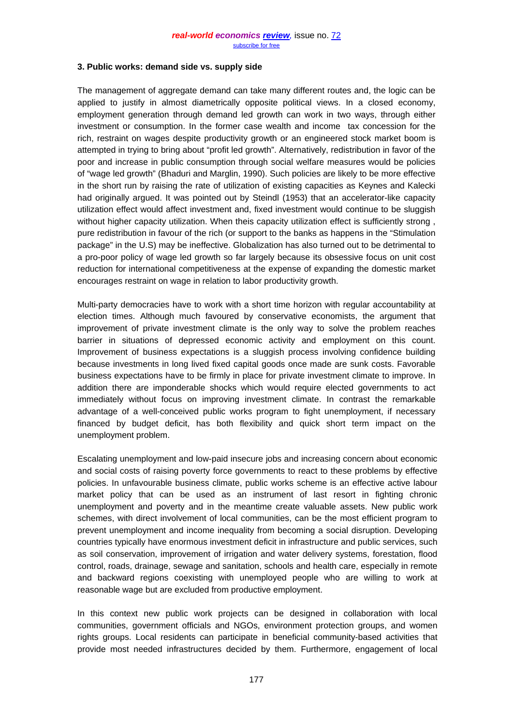#### **3. Public works: demand side vs. supply side**

The management of aggregate demand can take many different routes and, the logic can be applied to justify in almost diametrically opposite political views. In a closed economy, employment generation through demand led growth can work in two ways, through either investment or consumption. In the former case wealth and income tax concession for the rich, restraint on wages despite productivity growth or an engineered stock market boom is attempted in trying to bring about "profit led growth". Alternatively, redistribution in favor of the poor and increase in public consumption through social welfare measures would be policies of "wage led growth" (Bhaduri and Marglin, 1990). Such policies are likely to be more effective in the short run by raising the rate of utilization of existing capacities as Keynes and Kalecki had originally argued. It was pointed out by Steindl (1953) that an accelerator-like capacity utilization effect would affect investment and, fixed investment would continue to be sluggish without higher capacity utilization. When theis capacity utilization effect is sufficiently strong , pure redistribution in favour of the rich (or support to the banks as happens in the "Stimulation package" in the U.S) may be ineffective. Globalization has also turned out to be detrimental to a pro-poor policy of wage led growth so far largely because its obsessive focus on unit cost reduction for international competitiveness at the expense of expanding the domestic market encourages restraint on wage in relation to labor productivity growth.

Multi-party democracies have to work with a short time horizon with regular accountability at election times. Although much favoured by conservative economists, the argument that improvement of private investment climate is the only way to solve the problem reaches barrier in situations of depressed economic activity and employment on this count. Improvement of business expectations is a sluggish process involving confidence building because investments in long lived fixed capital goods once made are sunk costs. Favorable business expectations have to be firmly in place for private investment climate to improve. In addition there are imponderable shocks which would require elected governments to act immediately without focus on improving investment climate. In contrast the remarkable advantage of a well-conceived public works program to fight unemployment, if necessary financed by budget deficit, has both flexibility and quick short term impact on the unemployment problem.

Escalating unemployment and low-paid insecure jobs and increasing concern about economic and social costs of raising poverty force governments to react to these problems by effective policies. In unfavourable business climate, public works scheme is an effective active labour market policy that can be used as an instrument of last resort in fighting chronic unemployment and poverty and in the meantime create valuable assets. New public work schemes, with direct involvement of local communities, can be the most efficient program to prevent unemployment and income inequality from becoming a social disruption. Developing countries typically have enormous investment deficit in infrastructure and public services, such as soil conservation, improvement of irrigation and water delivery systems, forestation, flood control, roads, drainage, sewage and sanitation, schools and health care, especially in remote and backward regions coexisting with unemployed people who are willing to work at reasonable wage but are excluded from productive employment.

In this context new public work projects can be designed in collaboration with local communities, government officials and NGOs, environment protection groups, and women rights groups. Local residents can participate in beneficial community-based activities that provide most needed infrastructures decided by them. Furthermore, engagement of local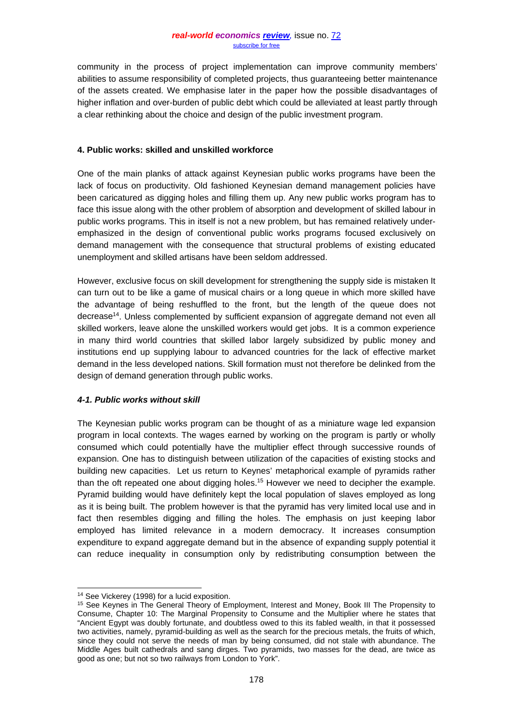community in the process of project implementation can improve community members' abilities to assume responsibility of completed projects, thus guaranteeing better maintenance of the assets created. We emphasise later in the paper how the possible disadvantages of higher inflation and over-burden of public debt which could be alleviated at least partly through a clear rethinking about the choice and design of the public investment program.

#### **4. Public works: skilled and unskilled workforce**

One of the main planks of attack against Keynesian public works programs have been the lack of focus on productivity. Old fashioned Keynesian demand management policies have been caricatured as digging holes and filling them up. Any new public works program has to face this issue along with the other problem of absorption and development of skilled labour in public works programs. This in itself is not a new problem, but has remained relatively underemphasized in the design of conventional public works programs focused exclusively on demand management with the consequence that structural problems of existing educated unemployment and skilled artisans have been seldom addressed.

However, exclusive focus on skill development for strengthening the supply side is mistaken It can turn out to be like a game of musical chairs or a long queue in which more skilled have the advantage of being reshuffled to the front, but the length of the queue does not decrease<sup>14</sup>. Unless complemented by sufficient expansion of aggregate demand not even all skilled workers, leave alone the unskilled workers would get jobs. It is a common experience in many third world countries that skilled labor largely subsidized by public money and institutions end up supplying labour to advanced countries for the lack of effective market demand in the less developed nations. Skill formation must not therefore be delinked from the design of demand generation through public works.

### *4-1. Public works without skill*

The Keynesian public works program can be thought of as a miniature wage led expansion program in local contexts. The wages earned by working on the program is partly or wholly consumed which could potentially have the multiplier effect through successive rounds of expansion. One has to distinguish between utilization of the capacities of existing stocks and building new capacities. Let us return to Keynes' metaphorical example of pyramids rather than the oft repeated one about digging holes.15 However we need to decipher the example. Pyramid building would have definitely kept the local population of slaves employed as long as it is being built. The problem however is that the pyramid has very limited local use and in fact then resembles digging and filling the holes. The emphasis on just keeping labor employed has limited relevance in a modern democracy. It increases consumption expenditure to expand aggregate demand but in the absence of expanding supply potential it can reduce inequality in consumption only by redistributing consumption between the

<sup>&</sup>lt;sup>14</sup> See Vickerey (1998) for a lucid exposition.

<sup>&</sup>lt;sup>15</sup> See Keynes in The General Theory of Employment, Interest and Money, Book III The Propensity to Consume, Chapter 10: The Marginal Propensity to Consume and the Multiplier where he states that "Ancient Egypt was doubly fortunate, and doubtless owed to this its fabled wealth, in that it possessed two activities, namely, pyramid-building as well as the search for the precious metals, the fruits of which, since they could not serve the needs of man by being consumed, did not stale with abundance. The Middle Ages built cathedrals and sang dirges. Two pyramids, two masses for the dead, are twice as good as one; but not so two railways from London to York".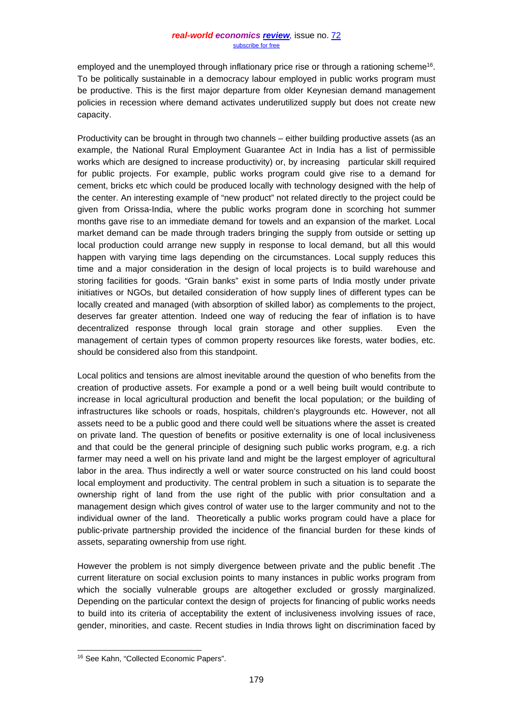employed and the unemployed through inflationary price rise or through a rationing scheme<sup>16</sup>. To be politically sustainable in a democracy labour employed in public works program must be productive. This is the first major departure from older Keynesian demand management policies in recession where demand activates underutilized supply but does not create new capacity.

Productivity can be brought in through two channels – either building productive assets (as an example, the National Rural Employment Guarantee Act in India has a list of permissible works which are designed to increase productivity) or, by increasing particular skill required for public projects. For example, public works program could give rise to a demand for cement, bricks etc which could be produced locally with technology designed with the help of the center. An interesting example of "new product" not related directly to the project could be given from Orissa-India, where the public works program done in scorching hot summer months gave rise to an immediate demand for towels and an expansion of the market. Local market demand can be made through traders bringing the supply from outside or setting up local production could arrange new supply in response to local demand, but all this would happen with varying time lags depending on the circumstances. Local supply reduces this time and a major consideration in the design of local projects is to build warehouse and storing facilities for goods. "Grain banks" exist in some parts of India mostly under private initiatives or NGOs, but detailed consideration of how supply lines of different types can be locally created and managed (with absorption of skilled labor) as complements to the project, deserves far greater attention. Indeed one way of reducing the fear of inflation is to have decentralized response through local grain storage and other supplies. Even the management of certain types of common property resources like forests, water bodies, etc. should be considered also from this standpoint.

Local politics and tensions are almost inevitable around the question of who benefits from the creation of productive assets. For example a pond or a well being built would contribute to increase in local agricultural production and benefit the local population; or the building of infrastructures like schools or roads, hospitals, children's playgrounds etc. However, not all assets need to be a public good and there could well be situations where the asset is created on private land. The question of benefits or positive externality is one of local inclusiveness and that could be the general principle of designing such public works program, e.g. a rich farmer may need a well on his private land and might be the largest employer of agricultural labor in the area. Thus indirectly a well or water source constructed on his land could boost local employment and productivity. The central problem in such a situation is to separate the ownership right of land from the use right of the public with prior consultation and a management design which gives control of water use to the larger community and not to the individual owner of the land. Theoretically a public works program could have a place for public-private partnership provided the incidence of the financial burden for these kinds of assets, separating ownership from use right.

However the problem is not simply divergence between private and the public benefit .The current literature on social exclusion points to many instances in public works program from which the socially vulnerable groups are altogether excluded or grossly marginalized. Depending on the particular context the design of projects for financing of public works needs to build into its criteria of acceptability the extent of inclusiveness involving issues of race, gender, minorities, and caste. Recent studies in India throws light on discrimination faced by

 <sup>16</sup> See Kahn, "Collected Economic Papers".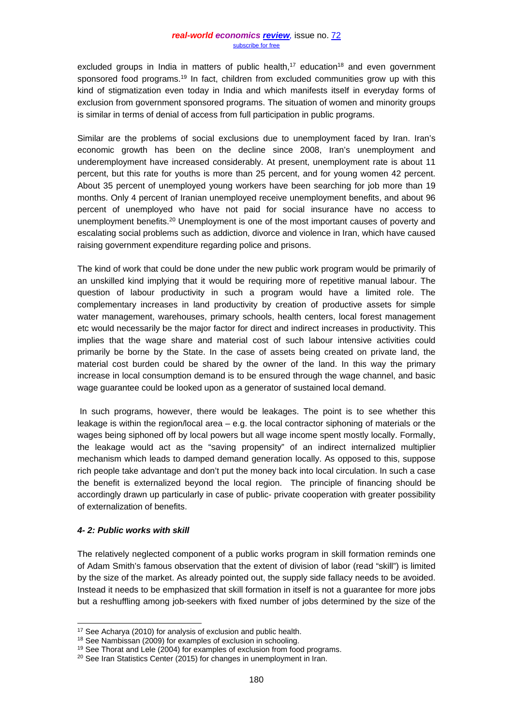excluded groups in India in matters of public health,<sup>17</sup> education<sup>18</sup> and even government sponsored food programs.<sup>19</sup> In fact, children from excluded communities grow up with this kind of stigmatization even today in India and which manifests itself in everyday forms of exclusion from government sponsored programs. The situation of women and minority groups is similar in terms of denial of access from full participation in public programs.

Similar are the problems of social exclusions due to unemployment faced by Iran. Iran's economic growth has been on the decline since 2008, Iran's unemployment and underemployment have increased considerably. At present, unemployment rate is about 11 percent, but this rate for youths is more than 25 percent, and for young women 42 percent. About 35 percent of unemployed young workers have been searching for job more than 19 months. Only 4 percent of Iranian unemployed receive unemployment benefits, and about 96 percent of unemployed who have not paid for social insurance have no access to unemployment benefits.<sup>20</sup> Unemployment is one of the most important causes of poverty and escalating social problems such as addiction, divorce and violence in Iran, which have caused raising government expenditure regarding police and prisons.

The kind of work that could be done under the new public work program would be primarily of an unskilled kind implying that it would be requiring more of repetitive manual labour. The question of labour productivity in such a program would have a limited role. The complementary increases in land productivity by creation of productive assets for simple water management, warehouses, primary schools, health centers, local forest management etc would necessarily be the major factor for direct and indirect increases in productivity. This implies that the wage share and material cost of such labour intensive activities could primarily be borne by the State. In the case of assets being created on private land, the material cost burden could be shared by the owner of the land. In this way the primary increase in local consumption demand is to be ensured through the wage channel, and basic wage guarantee could be looked upon as a generator of sustained local demand.

In such programs, however, there would be leakages. The point is to see whether this leakage is within the region/local area – e.g. the local contractor siphoning of materials or the wages being siphoned off by local powers but all wage income spent mostly locally. Formally, the leakage would act as the "saving propensity" of an indirect internalized multiplier mechanism which leads to damped demand generation locally. As opposed to this, suppose rich people take advantage and don't put the money back into local circulation. In such a case the benefit is externalized beyond the local region. The principle of financing should be accordingly drawn up particularly in case of public- private cooperation with greater possibility of externalization of benefits.

### *4- 2: Public works with skill*

The relatively neglected component of a public works program in skill formation reminds one of Adam Smith's famous observation that the extent of division of labor (read "skill") is limited by the size of the market. As already pointed out, the supply side fallacy needs to be avoided. Instead it needs to be emphasized that skill formation in itself is not a guarantee for more jobs but a reshuffling among job-seekers with fixed number of jobs determined by the size of the

<sup>&</sup>lt;sup>17</sup> See Acharya (2010) for analysis of exclusion and public health.<br><sup>18</sup> See Nambissan (2009) for examples of exclusion in schooling.

<sup>&</sup>lt;sup>19</sup> See Thorat and Lele (2004) for examples of exclusion from food programs.

<sup>&</sup>lt;sup>20</sup> See Iran Statistics Center (2015) for changes in unemployment in Iran.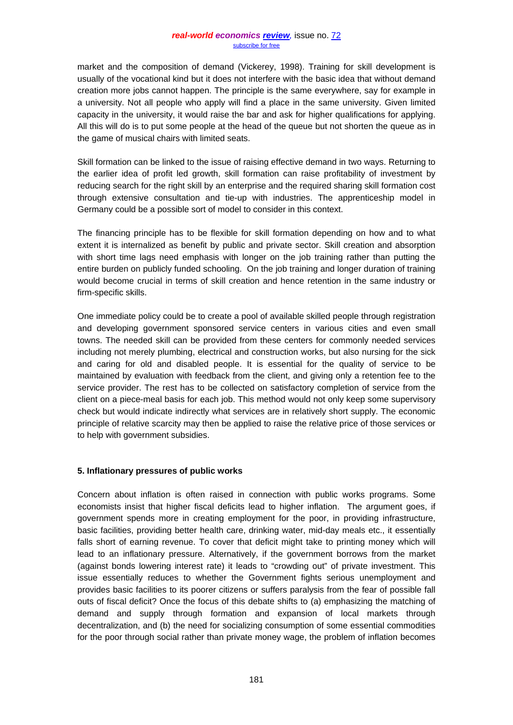market and the composition of demand (Vickerey, 1998). Training for skill development is usually of the vocational kind but it does not interfere with the basic idea that without demand creation more jobs cannot happen. The principle is the same everywhere, say for example in a university. Not all people who apply will find a place in the same university. Given limited capacity in the university, it would raise the bar and ask for higher qualifications for applying. All this will do is to put some people at the head of the queue but not shorten the queue as in the game of musical chairs with limited seats.

Skill formation can be linked to the issue of raising effective demand in two ways. Returning to the earlier idea of profit led growth, skill formation can raise profitability of investment by reducing search for the right skill by an enterprise and the required sharing skill formation cost through extensive consultation and tie-up with industries. The apprenticeship model in Germany could be a possible sort of model to consider in this context.

The financing principle has to be flexible for skill formation depending on how and to what extent it is internalized as benefit by public and private sector. Skill creation and absorption with short time lags need emphasis with longer on the job training rather than putting the entire burden on publicly funded schooling. On the job training and longer duration of training would become crucial in terms of skill creation and hence retention in the same industry or firm-specific skills.

One immediate policy could be to create a pool of available skilled people through registration and developing government sponsored service centers in various cities and even small towns. The needed skill can be provided from these centers for commonly needed services including not merely plumbing, electrical and construction works, but also nursing for the sick and caring for old and disabled people. It is essential for the quality of service to be maintained by evaluation with feedback from the client, and giving only a retention fee to the service provider. The rest has to be collected on satisfactory completion of service from the client on a piece-meal basis for each job. This method would not only keep some supervisory check but would indicate indirectly what services are in relatively short supply. The economic principle of relative scarcity may then be applied to raise the relative price of those services or to help with government subsidies.

### **5. Inflationary pressures of public works**

Concern about inflation is often raised in connection with public works programs. Some economists insist that higher fiscal deficits lead to higher inflation. The argument goes, if government spends more in creating employment for the poor, in providing infrastructure, basic facilities, providing better health care, drinking water, mid-day meals etc., it essentially falls short of earning revenue. To cover that deficit might take to printing money which will lead to an inflationary pressure. Alternatively, if the government borrows from the market (against bonds lowering interest rate) it leads to "crowding out" of private investment. This issue essentially reduces to whether the Government fights serious unemployment and provides basic facilities to its poorer citizens or suffers paralysis from the fear of possible fall outs of fiscal deficit? Once the focus of this debate shifts to (a) emphasizing the matching of demand and supply through formation and expansion of local markets through decentralization, and (b) the need for socializing consumption of some essential commodities for the poor through social rather than private money wage, the problem of inflation becomes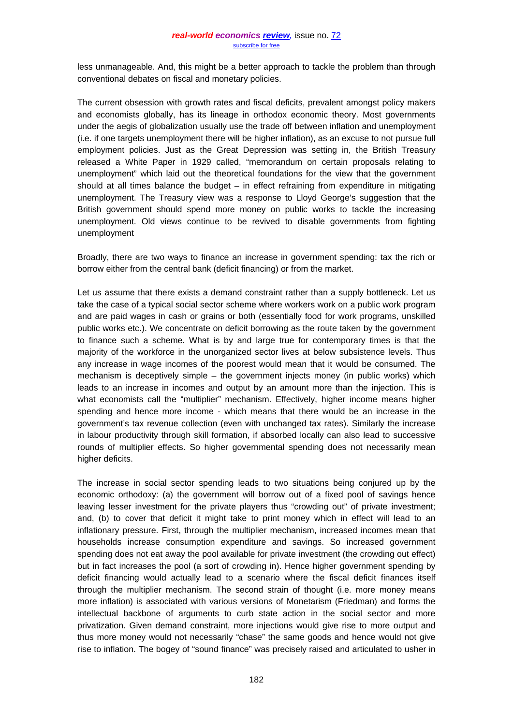less unmanageable. And, this might be a better approach to tackle the problem than through conventional debates on fiscal and monetary policies.

The current obsession with growth rates and fiscal deficits, prevalent amongst policy makers and economists globally, has its lineage in orthodox economic theory. Most governments under the aegis of globalization usually use the trade off between inflation and unemployment (i.e. if one targets unemployment there will be higher inflation), as an excuse to not pursue full employment policies. Just as the Great Depression was setting in, the British Treasury released a White Paper in 1929 called, "memorandum on certain proposals relating to unemployment" which laid out the theoretical foundations for the view that the government should at all times balance the budget – in effect refraining from expenditure in mitigating unemployment. The Treasury view was a response to Lloyd George's suggestion that the British government should spend more money on public works to tackle the increasing unemployment. Old views continue to be revived to disable governments from fighting unemployment

Broadly, there are two ways to finance an increase in government spending: tax the rich or borrow either from the central bank (deficit financing) or from the market.

Let us assume that there exists a demand constraint rather than a supply bottleneck. Let us take the case of a typical social sector scheme where workers work on a public work program and are paid wages in cash or grains or both (essentially food for work programs, unskilled public works etc.). We concentrate on deficit borrowing as the route taken by the government to finance such a scheme. What is by and large true for contemporary times is that the majority of the workforce in the unorganized sector lives at below subsistence levels. Thus any increase in wage incomes of the poorest would mean that it would be consumed. The mechanism is deceptively simple – the government injects money (in public works) which leads to an increase in incomes and output by an amount more than the injection. This is what economists call the "multiplier" mechanism. Effectively, higher income means higher spending and hence more income - which means that there would be an increase in the government's tax revenue collection (even with unchanged tax rates). Similarly the increase in labour productivity through skill formation, if absorbed locally can also lead to successive rounds of multiplier effects. So higher governmental spending does not necessarily mean higher deficits.

The increase in social sector spending leads to two situations being conjured up by the economic orthodoxy: (a) the government will borrow out of a fixed pool of savings hence leaving lesser investment for the private players thus "crowding out" of private investment; and, (b) to cover that deficit it might take to print money which in effect will lead to an inflationary pressure. First, through the multiplier mechanism, increased incomes mean that households increase consumption expenditure and savings. So increased government spending does not eat away the pool available for private investment (the crowding out effect) but in fact increases the pool (a sort of crowding in). Hence higher government spending by deficit financing would actually lead to a scenario where the fiscal deficit finances itself through the multiplier mechanism. The second strain of thought (i.e. more money means more inflation) is associated with various versions of Monetarism (Friedman) and forms the intellectual backbone of arguments to curb state action in the social sector and more privatization. Given demand constraint, more injections would give rise to more output and thus more money would not necessarily "chase" the same goods and hence would not give rise to inflation. The bogey of "sound finance" was precisely raised and articulated to usher in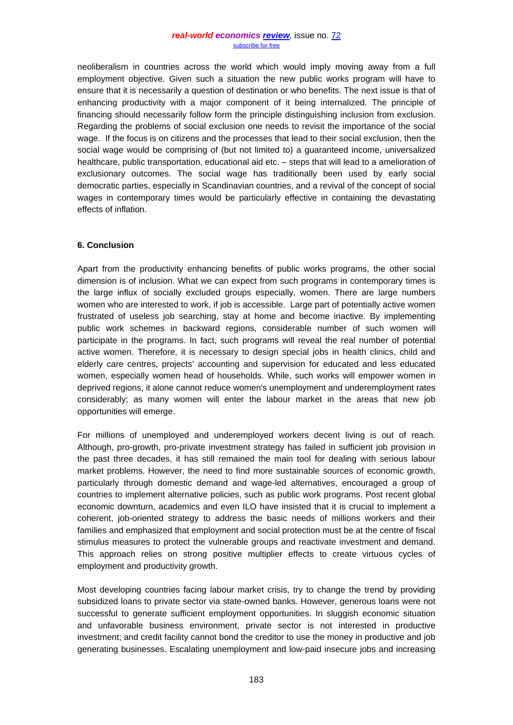neoliberalism in countries across the world which would imply moving away from a full employment objective. Given such a situation the new public works program will have to ensure that it is necessarily a question of destination or who benefits. The next issue is that of enhancing productivity with a major component of it being internalized. The principle of financing should necessarily follow form the principle distinguishing inclusion from exclusion. Regarding the problems of social exclusion one needs to revisit the importance of the social wage. If the focus is on citizens and the processes that lead to their social exclusion, then the social wage would be comprising of (but not limited to) a guaranteed income, universalized healthcare, public transportation, educational aid etc. – steps that will lead to a amelioration of exclusionary outcomes. The social wage has traditionally been used by early social democratic parties, especially in Scandinavian countries, and a revival of the concept of social wages in contemporary times would be particularly effective in containing the devastating effects of inflation.

## **6. Conclusion**

Apart from the productivity enhancing benefits of public works programs, the other social dimension is of inclusion. What we can expect from such programs in contemporary times is the large influx of socially excluded groups especially, women. There are large numbers women who are interested to work, if job is accessible. Large part of potentially active women frustrated of useless job searching, stay at home and become inactive. By implementing public work schemes in backward regions, considerable number of such women will participate in the programs. In fact, such programs will reveal the real number of potential active women. Therefore, it is necessary to design special jobs in health clinics, child and elderly care centres, projects' accounting and supervision for educated and less educated women, especially women head of households. While, such works will empower women in deprived regions, it alone cannot reduce women's unemployment and underemployment rates considerably; as many women will enter the labour market in the areas that new job opportunities will emerge.

For millions of unemployed and underemployed workers decent living is out of reach. Although, pro-growth, pro-private investment strategy has failed in sufficient job provision in the past three decades, it has still remained the main tool for dealing with serious labour market problems. However, the need to find more sustainable sources of economic growth, particularly through domestic demand and wage-led alternatives, encouraged a group of countries to implement alternative policies, such as public work programs. Post recent global economic downturn, academics and even ILO have insisted that it is crucial to implement a coherent, job-oriented strategy to address the basic needs of millions workers and their families and emphasized that employment and social protection must be at the centre of fiscal stimulus measures to protect the vulnerable groups and reactivate investment and demand. This approach relies on strong positive multiplier effects to create virtuous cycles of employment and productivity growth.

Most developing countries facing labour market crisis, try to change the trend by providing subsidized loans to private sector via state-owned banks. However, generous loans were not successful to generate sufficient employment opportunities. In sluggish economic situation and unfavorable business environment, private sector is not interested in productive investment; and credit facility cannot bond the creditor to use the money in productive and job generating businesses. Escalating unemployment and low-paid insecure jobs and increasing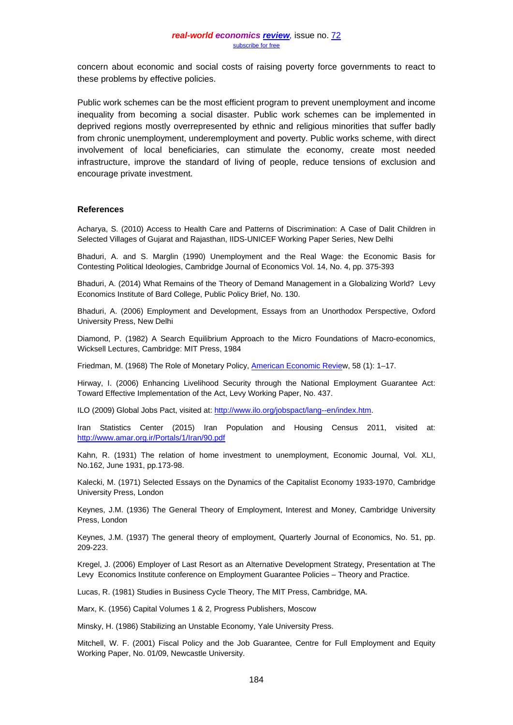concern about economic and social costs of raising poverty force governments to react to these problems by effective policies.

Public work schemes can be the most efficient program to prevent unemployment and income inequality from becoming a social disaster. Public work schemes can be implemented in deprived regions mostly overrepresented by ethnic and religious minorities that suffer badly from chronic unemployment, underemployment and poverty. Public works scheme, with direct involvement of local beneficiaries, can stimulate the economy, create most needed infrastructure, improve the standard of living of people, reduce tensions of exclusion and encourage private investment.

#### **References**

Acharya, S. (2010) Access to Health Care and Patterns of Discrimination: A Case of Dalit Children in Selected Villages of Gujarat and Rajasthan, IIDS-UNICEF Working Paper Series, New Delhi

Bhaduri, A. and S. Marglin (1990) Unemployment and the Real Wage: the Economic Basis for Contesting Political Ideologies, Cambridge Journal of Economics Vol. 14, No. 4, pp. 375-393

Bhaduri, A. (2014) What Remains of the Theory of Demand Management in a Globalizing World? Levy Economics Institute of Bard College, Public Policy Brief, No. 130.

Bhaduri, A. (2006) Employment and Development, Essays from an Unorthodox Perspective, Oxford University Press, New Delhi

Diamond, P. (1982) A Search Equilibrium Approach to the Micro Foundations of Macro-economics, Wicksell Lectures, Cambridge: MIT Press, 1984

Friedman, M. (1968) The Role of Monetary Policy, **American Economic Review**, 58 (1): 1-17.

Hirway, I. (2006) Enhancing Livelihood Security through the National Employment Guarantee Act: Toward Effective Implementation of the Act, Levy Working Paper, No. 437.

ILO (2009) Global Jobs Pact, visited at: [http://www.ilo.org/jobspact/lang--en/index.htm.](http://www.ilo.org/jobspact/lang--en/index.htm)

Iran Statistics Center (2015) Iran Population and Housing Census 2011, visited at: <http://www.amar.org.ir/Portals/1/Iran/90.pdf>

Kahn, R. (1931) The relation of home investment to unemployment, Economic Journal, Vol. XLI, No.162, June 1931, pp.173-98.

Kalecki, M. (1971) Selected Essays on the Dynamics of the Capitalist Economy 1933-1970, Cambridge University Press, London

Keynes, J.M. (1936) The General Theory of Employment, Interest and Money, Cambridge University Press, London

Keynes, J.M. (1937) The general theory of employment, Quarterly Journal of Economics, No. 51, pp. 209-223.

Kregel, J. (2006) Employer of Last Resort as an Alternative Development Strategy, Presentation at The Levy Economics Institute conference on Employment Guarantee Policies – Theory and Practice.

Lucas, R. (1981) Studies in Business Cycle Theory, The MIT Press, Cambridge, MA.

Marx, K. (1956) Capital Volumes 1 & 2, Progress Publishers, Moscow

Minsky, H. (1986) Stabilizing an Unstable Economy, Yale University Press.

Mitchell, W. F. (2001) Fiscal Policy and the Job Guarantee, Centre for Full Employment and Equity Working Paper, No. 01/09, Newcastle University.